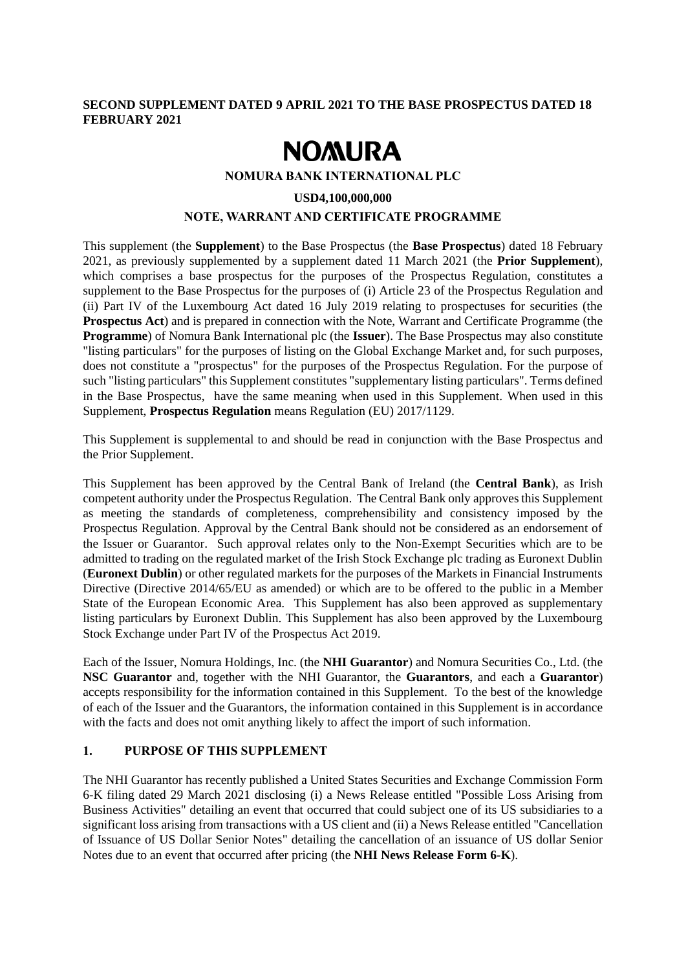## **SECOND SUPPLEMENT DATED 9 APRIL 2021 TO THE BASE PROSPECTUS DATED 18 FEBRUARY 2021**

# **NOMURA**

**NOMURA BANK INTERNATIONAL PLC**

#### **USD4,100,000,000**

# **NOTE, WARRANT AND CERTIFICATE PROGRAMME**

This supplement (the **Supplement**) to the Base Prospectus (the **Base Prospectus**) dated 18 February 2021, as previously supplemented by a supplement dated 11 March 2021 (the **Prior Supplement**), which comprises a base prospectus for the purposes of the Prospectus Regulation, constitutes a supplement to the Base Prospectus for the purposes of (i) Article 23 of the Prospectus Regulation and (ii) Part IV of the Luxembourg Act dated 16 July 2019 relating to prospectuses for securities (the **Prospectus Act**) and is prepared in connection with the Note, Warrant and Certificate Programme (the **Programme**) of Nomura Bank International plc (the **Issuer**). The Base Prospectus may also constitute "listing particulars" for the purposes of listing on the Global Exchange Market and, for such purposes, does not constitute a "prospectus" for the purposes of the Prospectus Regulation. For the purpose of such "listing particulars" this Supplement constitutes "supplementary listing particulars". Terms defined in the Base Prospectus, have the same meaning when used in this Supplement. When used in this Supplement, **Prospectus Regulation** means Regulation (EU) 2017/1129.

This Supplement is supplemental to and should be read in conjunction with the Base Prospectus and the Prior Supplement.

This Supplement has been approved by the Central Bank of Ireland (the **Central Bank**), as Irish competent authority under the Prospectus Regulation. The Central Bank only approves this Supplement as meeting the standards of completeness, comprehensibility and consistency imposed by the Prospectus Regulation. Approval by the Central Bank should not be considered as an endorsement of the Issuer or Guarantor. Such approval relates only to the Non-Exempt Securities which are to be admitted to trading on the regulated market of the Irish Stock Exchange plc trading as Euronext Dublin (**Euronext Dublin**) or other regulated markets for the purposes of the Markets in Financial Instruments Directive (Directive 2014/65/EU as amended) or which are to be offered to the public in a Member State of the European Economic Area. This Supplement has also been approved as supplementary listing particulars by Euronext Dublin. This Supplement has also been approved by the Luxembourg Stock Exchange under Part IV of the Prospectus Act 2019.

Each of the Issuer, Nomura Holdings, Inc. (the **NHI Guarantor**) and Nomura Securities Co., Ltd. (the **NSC Guarantor** and, together with the NHI Guarantor, the **Guarantors**, and each a **Guarantor**) accepts responsibility for the information contained in this Supplement. To the best of the knowledge of each of the Issuer and the Guarantors, the information contained in this Supplement is in accordance with the facts and does not omit anything likely to affect the import of such information.

# **1. PURPOSE OF THIS SUPPLEMENT**

The NHI Guarantor has recently published a United States Securities and Exchange Commission Form 6-K filing dated 29 March 2021 disclosing (i) a News Release entitled "Possible Loss Arising from Business Activities" detailing an event that occurred that could subject one of its US subsidiaries to a significant loss arising from transactions with a US client and (ii) a News Release entitled "Cancellation of Issuance of US Dollar Senior Notes" detailing the cancellation of an issuance of US dollar Senior Notes due to an event that occurred after pricing (the **NHI News Release Form 6-K**).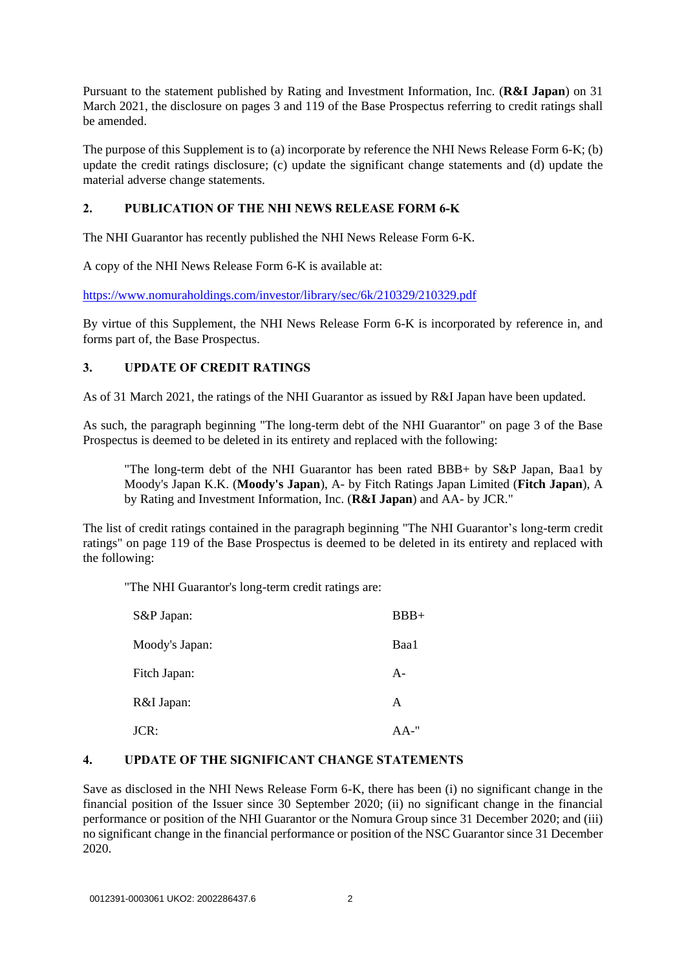Pursuant to the statement published by Rating and Investment Information, Inc. (**R&I Japan**) on 31 March 2021, the disclosure on pages 3 and 119 of the Base Prospectus referring to credit ratings shall be amended.

The purpose of this Supplement is to (a) incorporate by reference the NHI News Release Form 6-K; (b) update the credit ratings disclosure; (c) update the significant change statements and (d) update the material adverse change statements.

## **2. PUBLICATION OF THE NHI NEWS RELEASE FORM 6-K**

The NHI Guarantor has recently published the NHI News Release Form 6-K.

A copy of the NHI News Release Form 6-K is available at:

https://www.nomuraholdings.com/investor/library/sec/6k/210329/210329.pdf

By virtue of this Supplement, the NHI News Release Form 6-K is incorporated by reference in, and forms part of, the Base Prospectus.

# **3. UPDATE OF CREDIT RATINGS**

As of 31 March 2021, the ratings of the NHI Guarantor as issued by R&I Japan have been updated.

As such, the paragraph beginning "The long-term debt of the NHI Guarantor" on page 3 of the Base Prospectus is deemed to be deleted in its entirety and replaced with the following:

"The long-term debt of the NHI Guarantor has been rated BBB+ by S&P Japan, Baa1 by Moody's Japan K.K. (**Moody's Japan**), A- by Fitch Ratings Japan Limited (**Fitch Japan**), A by Rating and Investment Information, Inc. (**R&I Japan**) and AA- by JCR."

The list of credit ratings contained in the paragraph beginning "The NHI Guarantor's long-term credit ratings" on page 119 of the Base Prospectus is deemed to be deleted in its entirety and replaced with the following:

"The NHI Guarantor's long-term credit ratings are:

| S&P Japan:     | $BBB+$   |
|----------------|----------|
| Moody's Japan: | Baa1     |
| Fitch Japan:   | $A-$     |
| R&I Japan:     | A        |
| JCR:           | $AA -$ " |

# **4. UPDATE OF THE SIGNIFICANT CHANGE STATEMENTS**

Save as disclosed in the NHI News Release Form 6-K, there has been (i) no significant change in the financial position of the Issuer since 30 September 2020; (ii) no significant change in the financial performance or position of the NHI Guarantor or the Nomura Group since 31 December 2020; and (iii) no significant change in the financial performance or position of the NSC Guarantor since 31 December 2020.